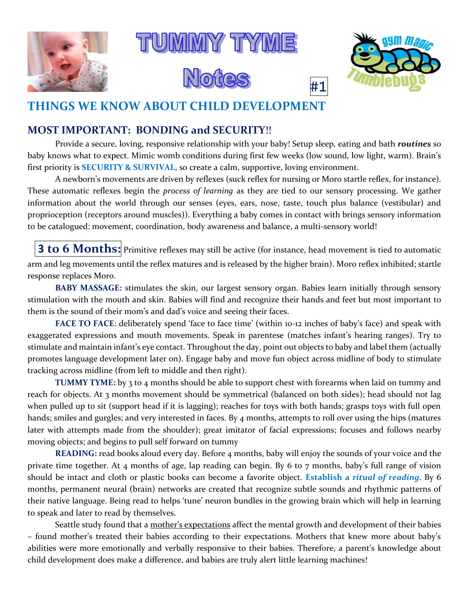



### **MOST IMPORTANT: BONDING and SECURITY**!!

Provide a secure, loving, responsive relationship with your baby! Setup sleep, eating and bath *routines* so baby knows what to expect. Mimic womb conditions during first few weeks (low sound, low light, warm). Brain's first priority is **SECURITY & SURVIVAL**, so create a calm, supportive, loving environment.

A newborn's movements are driven by reflexes (suck reflex for nursing or Moro startle reflex, for instance). These automatic reflexes begin the *process of learning* as they are tied to our sensory processing. We gather information about the world through our senses (eyes, ears, nose, taste, touch plus balance (vestibular) and proprioception (receptors around muscles)). Everything a baby comes in contact with brings sensory information to be catalogued: movement, coordination, body awareness and balance, a multi-sensory world!

**3 to**  $6$  **Months:** Primitive reflexes may still be active (for instance, head movement is tied to automatic arm and leg movements until the reflex matures and is released by the higher brain). Moro reflex inhibited; startle response replaces Moro.

**BABY MASSAGE:** stimulates the skin, our largest sensory organ. Babies learn initially through sensory stimulation with the mouth and skin. Babies will find and recognize their hands and feet but most important to them is the sound of their mom's and dad's voice and seeing their faces.

**FACE TO FACE**: deliberately spend 'face to face time' (within 10-12 inches of baby's face) and speak with exaggerated expressions and mouth movements. Speak in parentese (matches infant's hearing ranges). Try to stimulate and maintain infant's eye contact. Throughout the day, point out objects to baby and label them (actually promotes language development later on). Engage baby and move fun object across midline of body to stimulate tracking across midline (from left to middle and then right).

**TUMMY TYME:** by 3 to 4 months should be able to support chest with forearms when laid on tummy and reach for objects. At 3 months movement should be symmetrical (balanced on both sides); head should not lag when pulled up to sit (support head if it is lagging); reaches for toys with both hands; grasps toys with full open hands; smiles and gurgles; and very interested in faces. By 4 months, attempts to roll over using the hips (matures later with attempts made from the shoulder); great imitator of facial expressions; focuses and follows nearby moving objects; and begins to pull self forward on tummy

**READING:** read books aloud every day. Before 4 months, baby will enjoy the sounds of your voice and the private time together. At 4 months of age, lap reading can begin. By 6 to 7 months, baby's full range of vision should be intact and cloth or plastic books can become a favorite object. **Establish a** *ritual of reading*. By 6 months, permanent neural (brain) networks are created that recognize subtle sounds and rhythmic patterns of their native language. Being read to helps 'tune' neuron bundles in the growing brain which will help in learning to speak and later to read by themselves.

Seattle study found that a mother's expectations affect the mental growth and development of their babies – found mother's treated their babies according to their expectations. Mothers that knew more about baby's abilities were more emotionally and verbally responsive to their babies. Therefore, a parent's knowledge about child development does make a difference, and babies are truly alert little learning machines!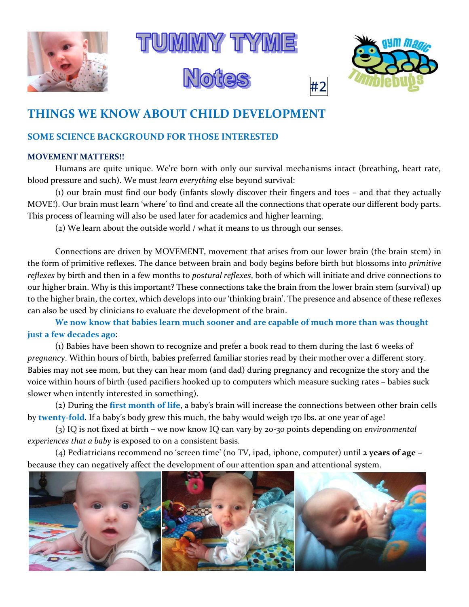





#### **SOME SCIENCE BACKGROUND FOR THOSE INTERESTED**

#### **MOVEMENT MATTERS!!**

Humans are quite unique. We're born with only our survival mechanisms intact (breathing, heart rate, blood pressure and such). We must *learn everything* else beyond survival:

(1) our brain must find our body (infants slowly discover their fingers and toes – and that they actually MOVE!). Our brain must learn 'where' to find and create all the connections that operate our different body parts. This process of learning will also be used later for academics and higher learning.

(2) We learn about the outside world / what it means to us through our senses.

Connections are driven by MOVEMENT, movement that arises from our lower brain (the brain stem) in the form of primitive reflexes. The dance between brain and body begins before birth but blossoms into *primitive reflexes* by birth and then in a few months to *postural reflexes*, both of which will initiate and drive connections to our higher brain. Why is this important? These connections take the brain from the lower brain stem (survival) up to the higher brain, the cortex, which develops into our 'thinking brain'. The presence and absence of these reflexes can also be used by clinicians to evaluate the development of the brain.

**We now know that babies learn much sooner and are capable of much more than was thought just a few decades ago**:

(1) Babies have been shown to recognize and prefer a book read to them during the last 6 weeks of *pregnancy*. Within hours of birth, babies preferred familiar stories read by their mother over a different story. Babies may not see mom, but they can hear mom (and dad) during pregnancy and recognize the story and the voice within hours of birth (used pacifiers hooked up to computers which measure sucking rates – babies suck slower when intently interested in something).

(2) During the **first month of life**, a baby's brain will increase the connections between other brain cells by **twenty-fold**. If a baby's body grew this much, the baby would weigh 170 lbs. at one year of age!

(3) IQ is not fixed at birth – we now know IQ can vary by 20-30 points depending on *environmental experiences that a baby* is exposed to on a consistent basis.

(4) Pediatricians recommend no 'screen time' (no TV, ipad, iphone, computer) until **2 years of age** – because they can negatively affect the development of our attention span and attentional system.

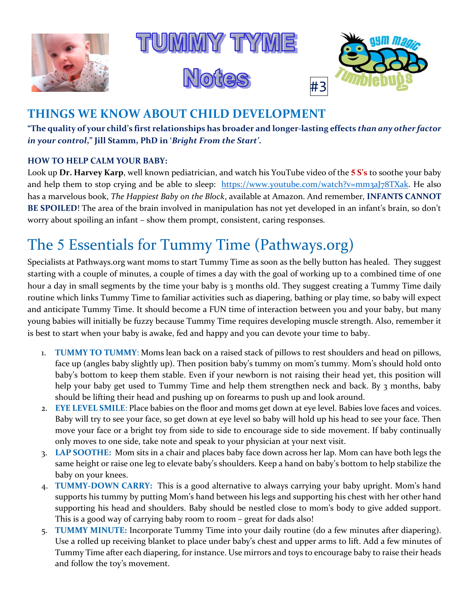





**"The quality of your child's first relationships has broader and longer-lasting effects** *than any other factor in your control***," Jill Stamm, PhD in '***Bright From the Start'***.**

#### **HOW TO HELP CALM YOUR BABY:**

Look up **Dr. Harvey Karp**, well known pediatrician, and watch his YouTube video of the **5 S's** to soothe your baby and help them to stop crying and be able to sleep: [https://www.youtube.com/watch?v=mm3aJ78TXak.](https://www.youtube.com/watch?v=mm3aJ78TXak) He also has a marvelous book, *The Happiest Baby on the Block*, available at Amazon. And remember, **INFANTS CANNOT BE SPOILED**! The area of the brain involved in manipulation has not yet developed in an infant's brain, so don't worry about spoiling an infant – show them prompt, consistent, caring responses.

# The 5 Essentials for Tummy Time (Pathways.org)

Specialists at Pathways.org want moms to start Tummy Time as soon as the belly button has healed. They suggest starting with a couple of minutes, a couple of times a day with the goal of working up to a combined time of one hour a day in small segments by the time your baby is 3 months old. They suggest creating a Tummy Time daily routine which links Tummy Time to familiar activities such as diapering, bathing or play time, so baby will expect and anticipate Tummy Time. It should become a FUN time of interaction between you and your baby, but many young babies will initially be fuzzy because Tummy Time requires developing muscle strength. Also, remember it is best to start when your baby is awake, fed and happy and you can devote your time to baby.

- 1. **TUMMY TO TUMMY**: Moms lean back on a raised stack of pillows to rest shoulders and head on pillows, face up (angles baby slightly up). Then position baby's tummy on mom's tummy. Mom's should hold onto baby's bottom to keep them stable. Even if your newborn is not raising their head yet, this position will help your baby get used to Tummy Time and help them strengthen neck and back. By 3 months, baby should be lifting their head and pushing up on forearms to push up and look around.
- 2. **EYE LEVEL SMILE**: Place babies on the floor and moms get down at eye level. Babies love faces and voices. Baby will try to see your face, so get down at eye level so baby will hold up his head to see your face. Then move your face or a bright toy from side to side to encourage side to side movement. If baby continually only moves to one side, take note and speak to your physician at your next visit.
- 3. **LAP SOOTHE:** Mom sits in a chair and places baby face down across her lap. Mom can have both legs the same height or raise one leg to elevate baby's shoulders. Keep a hand on baby's bottom to help stabilize the baby on your knees.
- 4. **TUMMY-DOWN CARRY:** This is a good alternative to always carrying your baby upright. Mom's hand supports his tummy by putting Mom's hand between his legs and supporting his chest with her other hand supporting his head and shoulders. Baby should be nestled close to mom's body to give added support. This is a good way of carrying baby room to room – great for dads also!
- 5. **TUMMY MINUTE:** Incorporate Tummy Time into your daily routine (do a few minutes after diapering). Use a rolled up receiving blanket to place under baby's chest and upper arms to lift. Add a few minutes of Tummy Time after each diapering, for instance. Use mirrors and toys to encourage baby to raise their heads and follow the toy's movement.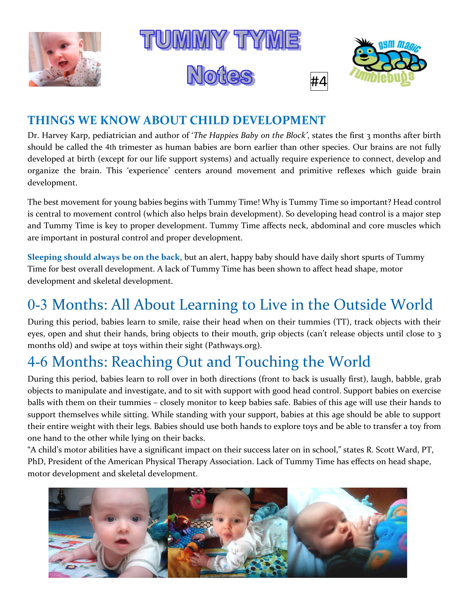



Dr. Harvey Karp, pediatrician and author of '*The Happies Baby on the Block'*, states the first 3 months after birth should be called the 4th trimester as human babies are born earlier than other species. Our brains are not fully developed at birth (except for our life support systems) and actually require experience to connect, develop and organize the brain. This 'experience' centers around movement and primitive reflexes which guide brain development.

The best movement for young babies begins with Tummy Time! Why is Tummy Time so important? Head control is central to movement control (which also helps brain development). So developing head control is a major step and Tummy Time is key to proper development. Tummy Time affects neck, abdominal and core muscles which are important in postural control and proper development.

**Sleeping should always be on the back**, but an alert, happy baby should have daily short spurts of Tummy Time for best overall development. A lack of Tummy Time has been shown to affect head shape, motor development and skeletal development.

# 0-3 Months: All About Learning to Live in the Outside World

During this period, babies learn to smile, raise their head when on their tummies (TT), track objects with their eyes, open and shut their hands, bring objects to their mouth, grip objects (can't release objects until close to 3 months old) and swipe at toys within their sight (Pathways.org).

# 4-6 Months: Reaching Out and Touching the World

During this period, babies learn to roll over in both directions (front to back is usually first), laugh, babble, grab objects to manipulate and investigate, and to sit with support with good head control. Support babies on exercise balls with them on their tummies – closely monitor to keep babies safe. Babies of this age will use their hands to support themselves while sitting. While standing with your support, babies at this age should be able to support their entire weight with their legs. Babies should use both hands to explore toys and be able to transfer a toy from one hand to the other while lying on their backs.

"A child's motor abilities have a significant impact on their success later on in school," states R. Scott Ward, PT, PhD, President of the American Physical Therapy Association. Lack of Tummy Time has effects on head shape, motor development and skeletal development.

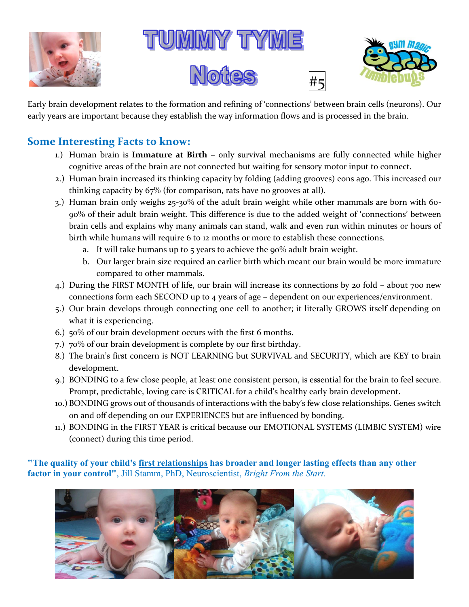









Early brain development relates to the formation and refining of 'connections' between brain cells (neurons). Our early years are important because they establish the way information flows and is processed in the brain.

### **Some Interesting Facts to know:**

- 1.) Human brain is **Immature at Birth** only survival mechanisms are fully connected while higher cognitive areas of the brain are not connected but waiting for sensory motor input to connect.
- 2.) Human brain increased its thinking capacity by folding (adding grooves) eons ago. This increased our thinking capacity by 67% (for comparison, rats have no grooves at all).
- 3.) Human brain only weighs 25-30% of the adult brain weight while other mammals are born with 60- 90% of their adult brain weight. This difference is due to the added weight of 'connections' between brain cells and explains why many animals can stand, walk and even run within minutes or hours of birth while humans will require 6 to 12 months or more to establish these connections.
	- a. It will take humans up to  $5$  years to achieve the  $90\%$  adult brain weight.
	- b. Our larger brain size required an earlier birth which meant our brain would be more immature compared to other mammals.
- 4.) During the FIRST MONTH of life, our brain will increase its connections by 20 fold about 700 new connections form each SECOND up to 4 years of age – dependent on our experiences/environment.
- 5.) Our brain develops through connecting one cell to another; it literally GROWS itself depending on what it is experiencing.
- 6.) 50% of our brain development occurs with the first 6 months.
- 7.) 70% of our brain development is complete by our first birthday.
- 8.) The brain's first concern is NOT LEARNING but SURVIVAL and SECURITY, which are KEY to brain development.
- 9.) BONDING to a few close people, at least one consistent person, is essential for the brain to feel secure. Prompt, predictable, loving care is CRITICAL for a child's healthy early brain development.
- 10.) BONDING grows out of thousands of interactions with the baby's few close relationships. Genes switch on and off depending on our EXPERIENCES but are influenced by bonding.
- 11.) BONDING in the FIRST YEAR is critical because our EMOTIONAL SYSTEMS (LIMBIC SYSTEM) wire (connect) during this time period.

**"The quality of your child's first relationships has broader and longer lasting effects than any other factor in your control"**, Jill Stamm, PhD, Neuroscientist, *Bright From the Start*.

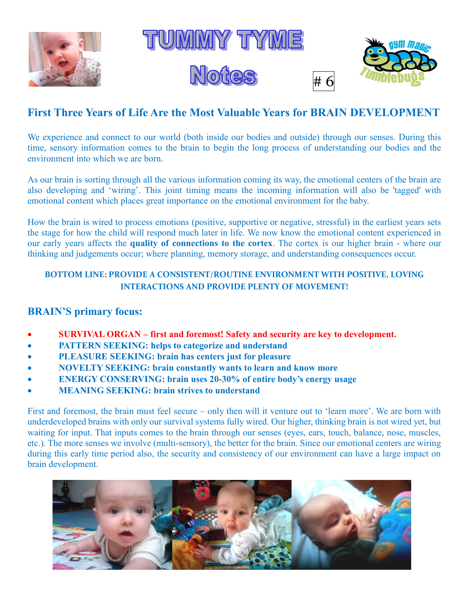







## **First Three Years of Life Are the Most Valuable Years for BRAIN DEVELOPMENT**

We experience and connect to our world (both inside our bodies and outside) through our senses. During this time, sensory information comes to the brain to begin the long process of understanding our bodies and the environment into which we are born.

As our brain is sorting through all the various information coming its way, the emotional centers of the brain are also developing and 'wiring'. This joint timing means the incoming information will also be 'tagged' with emotional content which places great importance on the emotional environment for the baby.

How the brain is wired to process emotions (positive, supportive or negative, stressful) in the earliest years sets the stage for how the child will respond much later in life. We now know the emotional content experienced in our early years affects the **quality of connections to the cortex**. The cortex is our higher brain - where our thinking and judgements occur; where planning, memory storage, and understanding consequences occur.

#### **BOTTOM LINE: PROVIDE A CONSISTENT/ROUTINE ENVIRONMENT WITH POSITIVE, LOVING INTERACTIONS AND PROVIDE PLENTY OF MOVEMENT!**

### **BRAIN'S primary focus:**

- x **SURVIVAL ORGAN – first and foremost! Safety and security are key to development.**
- **PATTERN SEEKING: helps to categorize and understand**
- x **PLEASURE SEEKING: brain has centers just for pleasure**
- x **NOVELTY SEEKING: brain constantly wants to learn and know more**
- x **ENERGY CONSERVING: brain uses 20-30% of entire body's energy usage**
- **MEANING SEEKING: brain strives to understand**

First and foremost, the brain must feel secure – only then will it venture out to 'learn more'. We are born with underdeveloped brains with only our survival systems fully wired. Our higher, thinking brain is not wired yet, but waiting for input. That inputs comes to the brain through our senses (eyes, ears, touch, balance, nose, muscles, etc.). The more senses we involve (multi-sensory), the better for the brain. Since our emotional centers are wiring during this early time period also, the security and consistency of our environment can have a large impact on brain development.